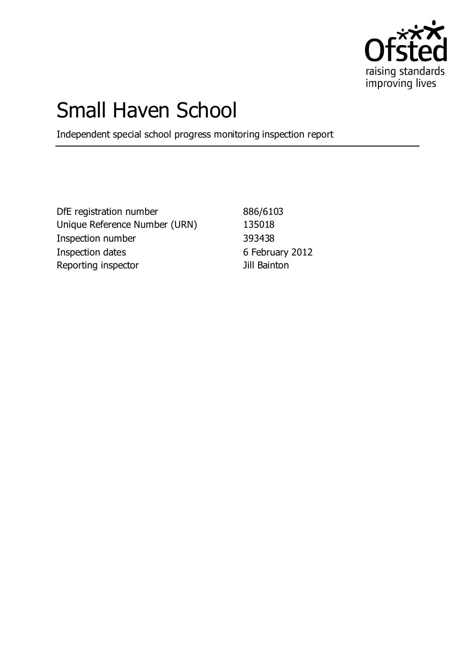

# Small Haven School

Independent special school progress monitoring inspection report

DfE registration number 886/6103 Unique Reference Number (URN) 135018 Inspection number 393438 Inspection dates 6 February 2012 Reporting inspector and a set of the Jill Bainton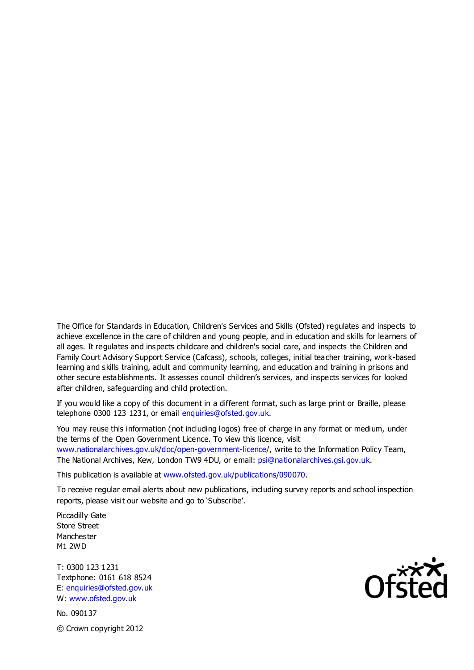The Office for Standards in Education, Children's Services and Skills (Ofsted) regulates and inspects to achieve excellence in the care of children and young people, and in education and skills for learners of all ages. It regulates and inspects childcare and children's social care, and inspects the Children and Family Court Advisory Support Service (Cafcass), schools, colleges, initial teacher training, work-based learning and skills training, adult and community learning, and education and training in prisons and other secure establishments. It assesses council children's services, and inspects services for looked after children, safeguarding and child protection.

If you would like a copy of this document in a different format, such as large print or Braille, please telephone 0300 123 1231, or email enquiries@ofsted.gov.uk.

You may reuse this information (not including logos) free of charge in any format or medium, under the terms of the Open Government Licence. To view this licence, visit www.nationalarchives.gov.uk/doc/open-government-licence/, write to the Information Policy Team, The National Archives, Kew, London TW9 4DU, or email: psi@nationalarchives.gsi.gov.uk.

This publication is available at www.ofsted.gov.uk/publications/090070.

To receive regular email alerts about new publications, including survey reports and school inspection reports, please visit our website and go to 'Subscribe'.

Piccadilly Gate Store Street Manchester M1 2WD

T: 0300 123 1231 Textphone: 0161 618 8524 E: enquiries@ofsted.gov.uk W: www.ofsted.gov.uk

No. 090137 © Crown copyright 2012

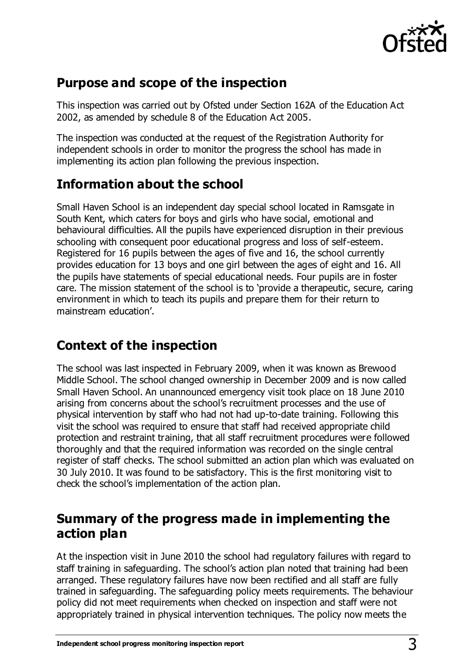

### **Purpose and scope of the inspection**

This inspection was carried out by Ofsted under Section 162A of the Education Act 2002, as amended by schedule 8 of the Education Act 2005.

The inspection was conducted at the request of the Registration Authority for independent schools in order to monitor the progress the school has made in implementing its action plan following the previous inspection.

# **Information about the school**

Small Haven School is an independent day special school located in Ramsgate in South Kent, which caters for boys and girls who have social, emotional and behavioural difficulties. All the pupils have experienced disruption in their previous schooling with consequent poor educational progress and loss of self-esteem. Registered for 16 pupils between the ages of five and 16, the school currently provides education for 13 boys and one girl between the ages of eight and 16. All the pupils have statements of special educational needs. Four pupils are in foster care. The mission statement of the school is to 'provide a therapeutic, secure, caring environment in which to teach its pupils and prepare them for their return to mainstream education'.

# **Context of the inspection**

The school was last inspected in February 2009, when it was known as Brewood Middle School. The school changed ownership in December 2009 and is now called Small Haven School. An unannounced emergency visit took place on 18 June 2010 arising from concerns about the school's recruitment processes and the use of physical intervention by staff who had not had up-to-date training. Following this visit the school was required to ensure that staff had received appropriate child protection and restraint training, that all staff recruitment procedures were followed thoroughly and that the required information was recorded on the single central register of staff checks. The school submitted an action plan which was evaluated on 30 July 2010. It was found to be satisfactory. This is the first monitoring visit to check the school's implementation of the action plan.

## **Summary of the progress made in implementing the action plan**

At the inspection visit in June 2010 the school had regulatory failures with regard to staff training in safeguarding. The school's action plan noted that training had been arranged. These regulatory failures have now been rectified and all staff are fully trained in safeguarding. The safeguarding policy meets requirements. The behaviour policy did not meet requirements when checked on inspection and staff were not appropriately trained in physical intervention techniques. The policy now meets the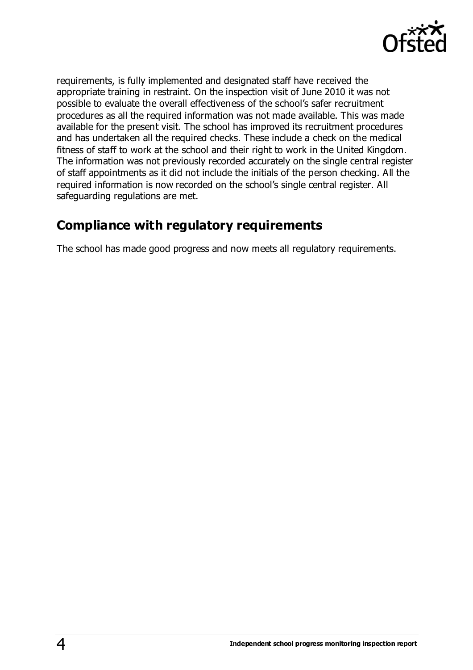

requirements, is fully implemented and designated staff have received the appropriate training in restraint. On the inspection visit of June 2010 it was not possible to evaluate the overall effectiveness of the school's safer recruitment procedures as all the required information was not made available. This was made available for the present visit. The school has improved its recruitment procedures and has undertaken all the required checks. These include a check on the medical fitness of staff to work at the school and their right to work in the United Kingdom. The information was not previously recorded accurately on the single central register of staff appointments as it did not include the initials of the person checking. All the required information is now recorded on the school's single central register. All safeguarding regulations are met.

#### **Compliance with regulatory requirements**

The school has made good progress and now meets all regulatory requirements.